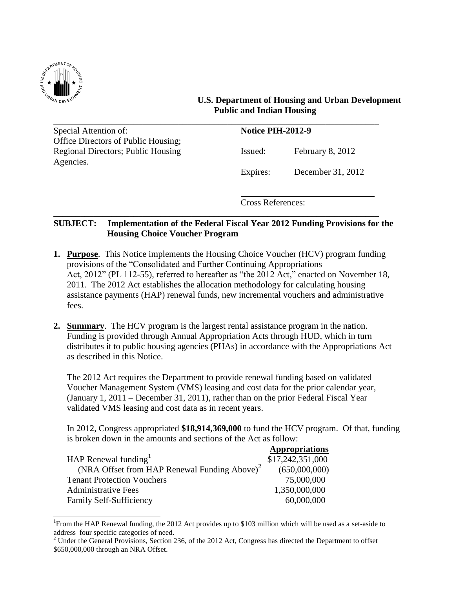

 $\overline{a}$ 

# **U.S. Department of Housing and Urban Development Public and Indian Housing**

\_\_\_\_\_\_\_\_\_\_\_\_\_\_\_\_\_\_\_\_\_\_\_\_\_\_\_\_\_\_\_\_\_\_\_\_\_\_\_\_\_\_\_\_\_\_\_\_\_\_\_\_\_\_\_\_\_\_\_\_\_\_\_\_\_\_\_\_\_\_\_\_\_ Special Attention of: **Notice PIH-2012-9** Office Directors of Public Housing; Regional Directors; Public Housing Issued: February 8, 2012 Agencies.

Expires: December 31, 2012

Cross References:

# **SUBJECT: Implementation of the Federal Fiscal Year 2012 Funding Provisions for the Housing Choice Voucher Program**

\_\_\_\_\_\_\_\_\_\_\_\_\_\_\_\_\_\_\_\_\_\_\_\_\_\_\_\_\_\_\_\_\_\_\_\_\_\_\_\_\_\_\_\_\_\_\_\_\_\_\_\_\_\_\_\_\_\_\_\_\_\_\_\_\_\_\_\_\_\_\_\_\_

- **1. Purpose**. This Notice implements the Housing Choice Voucher (HCV) program funding provisions of the "Consolidated and Further Continuing Appropriations" Act, 2012" (PL 112-55), referred to hereafter as "the 2012 Act," enacted on November 18, 2011. The 2012 Act establishes the allocation methodology for calculating housing assistance payments (HAP) renewal funds, new incremental vouchers and administrative fees.
- **2. Summary**. The HCV program is the largest rental assistance program in the nation. Funding is provided through Annual Appropriation Acts through HUD, which in turn distributes it to public housing agencies (PHAs) in accordance with the Appropriations Act as described in this Notice.

The 2012 Act requires the Department to provide renewal funding based on validated Voucher Management System (VMS) leasing and cost data for the prior calendar year, (January 1, 2011 – December 31, 2011), rather than on the prior Federal Fiscal Year validated VMS leasing and cost data as in recent years.

In 2012, Congress appropriated **\$18,914,369,000** to fund the HCV program. Of that, funding is broken down in the amounts and sections of the Act as follow:

|                                                          | <b>Appropriations</b> |
|----------------------------------------------------------|-----------------------|
| HAP Renewal funding $1$                                  | \$17,242,351,000      |
| (NRA Offset from HAP Renewal Funding Above) <sup>2</sup> | (650,000,000)         |
| <b>Tenant Protection Vouchers</b>                        | 75,000,000            |
| <b>Administrative Fees</b>                               | 1,350,000,000         |
| Family Self-Sufficiency                                  | 60,000,000            |

<sup>&</sup>lt;sup>1</sup> From the HAP Renewal funding, the 2012 Act provides up to \$103 million which will be used as a set-aside to address four specific categories of need.

<sup>&</sup>lt;sup>2</sup> Under the General Provisions, Section 236, of the 2012 Act, Congress has directed the Department to offset \$650,000,000 through an NRA Offset.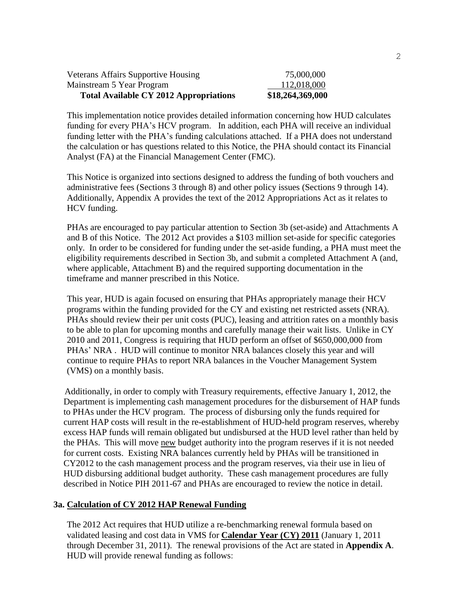| <b>Total Available CY 2012 Appropriations</b> | \$18,264,369,000 |
|-----------------------------------------------|------------------|
| Mainstream 5 Year Program                     | 112,018,000      |
| <b>Veterans Affairs Supportive Housing</b>    | 75,000,000       |

This implementation notice provides detailed information concerning how HUD calculates funding for every PHA's HCV program. In addition, each PHA will receive an individual funding letter with the PHA's funding calculations attached. If a PHA does not understand the calculation or has questions related to this Notice, the PHA should contact its Financial Analyst (FA) at the Financial Management Center (FMC).

This Notice is organized into sections designed to address the funding of both vouchers and administrative fees (Sections 3 through 8) and other policy issues (Sections 9 through 14). Additionally, Appendix A provides the text of the 2012 Appropriations Act as it relates to HCV funding.

PHAs are encouraged to pay particular attention to Section 3b (set-aside) and Attachments A and B of this Notice. The 2012 Act provides a \$103 million set-aside for specific categories only. In order to be considered for funding under the set-aside funding, a PHA must meet the eligibility requirements described in Section 3b, and submit a completed Attachment A (and, where applicable, Attachment B) and the required supporting documentation in the timeframe and manner prescribed in this Notice.

This year, HUD is again focused on ensuring that PHAs appropriately manage their HCV programs within the funding provided for the CY and existing net restricted assets (NRA). PHAs should review their per unit costs (PUC), leasing and attrition rates on a monthly basis to be able to plan for upcoming months and carefully manage their wait lists. Unlike in CY 2010 and 2011, Congress is requiring that HUD perform an offset of \$650,000,000 from PHAs' NRA . HUD will continue to monitor NRA balances closely this year and will continue to require PHAs to report NRA balances in the Voucher Management System (VMS) on a monthly basis.

 Additionally, in order to comply with Treasury requirements, effective January 1, 2012, the Department is implementing cash management procedures for the disbursement of HAP funds to PHAs under the HCV program. The process of disbursing only the funds required for current HAP costs will result in the re-establishment of HUD-held program reserves, whereby excess HAP funds will remain obligated but undisbursed at the HUD level rather than held by the PHAs. This will move new budget authority into the program reserves if it is not needed for current costs. Existing NRA balances currently held by PHAs will be transitioned in CY2012 to the cash management process and the program reserves, via their use in lieu of HUD disbursing additional budget authority. These cash management procedures are fully described in Notice PIH 2011-67 and PHAs are encouraged to review the notice in detail.

#### **3a. Calculation of CY 2012 HAP Renewal Funding**

The 2012 Act requires that HUD utilize a re-benchmarking renewal formula based on validated leasing and cost data in VMS for **Calendar Year (CY) 2011** (January 1, 2011 through December 31, 2011). The renewal provisions of the Act are stated in **Appendix A**. HUD will provide renewal funding as follows: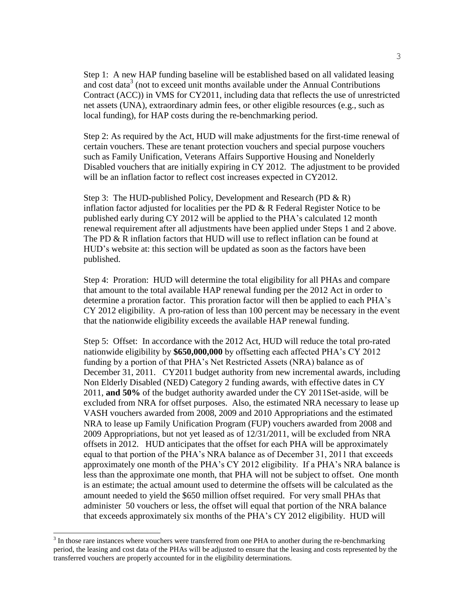Step 1: A new HAP funding baseline will be established based on all validated leasing and cost data<sup>3</sup> (not to exceed unit months available under the Annual Contributions Contract (ACC)) in VMS for CY2011, including data that reflects the use of unrestricted net assets (UNA), extraordinary admin fees, or other eligible resources (e.g., such as local funding), for HAP costs during the re-benchmarking period.

Step 2: As required by the Act, HUD will make adjustments for the first-time renewal of certain vouchers. These are tenant protection vouchers and special purpose vouchers such as Family Unification, Veterans Affairs Supportive Housing and Nonelderly Disabled vouchers that are initially expiring in CY 2012. The adjustment to be provided will be an inflation factor to reflect cost increases expected in CY2012.

Step 3: The HUD-published Policy, Development and Research (PD & R) inflation factor adjusted for localities per the PD & R Federal Register Notice to be published early during CY 2012 will be applied to the PHA's calculated 12 month renewal requirement after all adjustments have been applied under Steps 1 and 2 above. The PD & R inflation factors that HUD will use to reflect inflation can be found at HUD's website at: this section will be updated as soon as the factors have been published.

 Step 4: Proration: HUD will determine the total eligibility for all PHAs and compare that amount to the total available HAP renewal funding per the 2012 Act in order to determine a proration factor. This proration factor will then be applied to each PHA's CY 2012 eligibility. A pro-ration of less than 100 percent may be necessary in the event that the nationwide eligibility exceeds the available HAP renewal funding.

 Step 5: Offset: In accordance with the 2012 Act, HUD will reduce the total pro-rated nationwide eligibility by **\$650,000,000** by offsetting each affected PHA's CY 2012 funding by a portion of that PHA's Net Restricted Assets (NRA) balance as of December 31, 2011. CY2011 budget authority from new incremental awards, including Non Elderly Disabled (NED) Category 2 funding awards, with effective dates in CY 2011, **and 50%** of the budget authority awarded under the CY 2011Set-aside, will be excluded from NRA for offset purposes. Also, the estimated NRA necessary to lease up VASH vouchers awarded from 2008, 2009 and 2010 Appropriations and the estimated NRA to lease up Family Unification Program (FUP) vouchers awarded from 2008 and 2009 Appropriations, but not yet leased as of 12/31/2011, will be excluded from NRA offsets in 2012. HUD anticipates that the offset for each PHA will be approximately equal to that portion of the PHA's NRA balance as of December 31, 2011 that exceeds approximately one month of the PHA's CY 2012 eligibility. If a PHA's NRA balance is less than the approximate one month, that PHA will not be subject to offset. One month is an estimate; the actual amount used to determine the offsets will be calculated as the amount needed to yield the \$650 million offset required. For very small PHAs that administer 50 vouchers or less, the offset will equal that portion of the NRA balance that exceeds approximately six months of the PHA's CY 2012 eligibility. HUD will

l

 $3$  In those rare instances where vouchers were transferred from one PHA to another during the re-benchmarking period, the leasing and cost data of the PHAs will be adjusted to ensure that the leasing and costs represented by the transferred vouchers are properly accounted for in the eligibility determinations.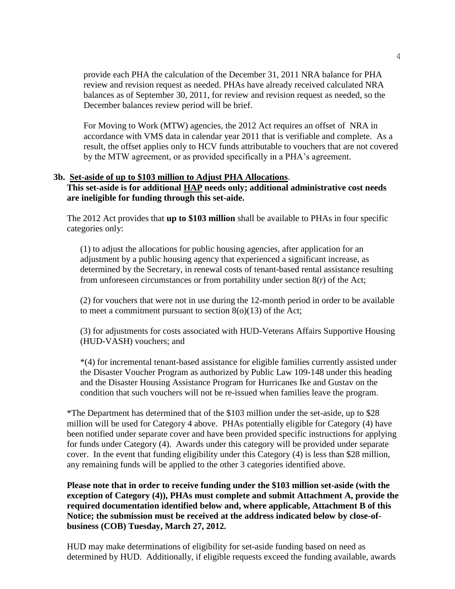provide each PHA the calculation of the December 31, 2011 NRA balance for PHA review and revision request as needed. PHAs have already received calculated NRA balances as of September 30, 2011, for review and revision request as needed, so the December balances review period will be brief.

For Moving to Work (MTW) agencies, the 2012 Act requires an offset of NRA in accordance with VMS data in calendar year 2011 that is verifiable and complete. As a result, the offset applies only to HCV funds attributable to vouchers that are not covered by the MTW agreement, or as provided specifically in a PHA's agreement.

### **3b. Set-aside of up to \$103 million to Adjust PHA Allocations**. **This set-aside is for additional HAP needs only; additional administrative cost needs are ineligible for funding through this set-aide.**

The 2012 Act provides that **up to \$103 million** shall be available to PHAs in four specific categories only:

(1) to adjust the allocations for public housing agencies, after application for an adjustment by a public housing agency that experienced a significant increase, as determined by the Secretary, in renewal costs of tenant-based rental assistance resulting from unforeseen circumstances or from portability under section 8(r) of the Act;

(2) for vouchers that were not in use during the 12-month period in order to be available to meet a commitment pursuant to section  $8(0)(13)$  of the Act;

(3) for adjustments for costs associated with HUD-Veterans Affairs Supportive Housing (HUD-VASH) vouchers; and

\*(4) for incremental tenant-based assistance for eligible families currently assisted under the Disaster Voucher Program as authorized by Public Law 109-148 under this heading and the Disaster Housing Assistance Program for Hurricanes Ike and Gustav on the condition that such vouchers will not be re-issued when families leave the program.

\*The Department has determined that of the \$103 million under the set-aside, up to \$28 million will be used for Category 4 above. PHAs potentially eligible for Category (4) have been notified under separate cover and have been provided specific instructions for applying for funds under Category (4). Awards under this category will be provided under separate cover. In the event that funding eligibility under this Category (4) is less than \$28 million, any remaining funds will be applied to the other 3 categories identified above.

**Please note that in order to receive funding under the \$103 million set-aside (with the exception of Category (4)), PHAs must complete and submit Attachment A, provide the required documentation identified below and, where applicable, Attachment B of this Notice; the submission must be received at the address indicated below by close-ofbusiness (COB) Tuesday, March 27, 2012.**

HUD may make determinations of eligibility for set-aside funding based on need as determined by HUD. Additionally, if eligible requests exceed the funding available, awards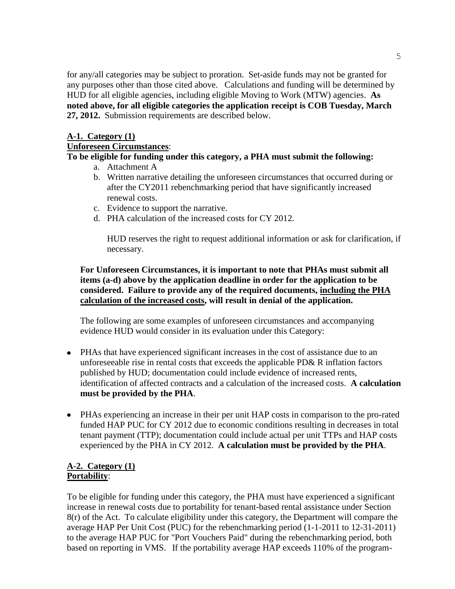for any/all categories may be subject to proration. Set-aside funds may not be granted for any purposes other than those cited above. Calculations and funding will be determined by HUD for all eligible agencies, including eligible Moving to Work (MTW) agencies. **As noted above, for all eligible categories the application receipt is COB Tuesday, March 27, 2012.** Submission requirements are described below.

# **A-1. Category (1)**

# **Unforeseen Circumstances**:

# **To be eligible for funding under this category, a PHA must submit the following:**

- a. Attachment A
- b. Written narrative detailing the unforeseen circumstances that occurred during or after the CY2011 rebenchmarking period that have significantly increased renewal costs.
- c. Evidence to support the narrative.
- d. PHA calculation of the increased costs for CY 2012.

HUD reserves the right to request additional information or ask for clarification, if necessary.

# **For Unforeseen Circumstances, it is important to note that PHAs must submit all items (a-d) above by the application deadline in order for the application to be considered. Failure to provide any of the required documents, including the PHA calculation of the increased costs, will result in denial of the application.**

The following are some examples of unforeseen circumstances and accompanying evidence HUD would consider in its evaluation under this Category:

- PHAs that have experienced significant increases in the cost of assistance due to an unforeseeable rise in rental costs that exceeds the applicable PD& R inflation factors published by HUD; documentation could include evidence of increased rents, identification of affected contracts and a calculation of the increased costs. **A calculation must be provided by the PHA**.
- PHAs experiencing an increase in their per unit HAP costs in comparison to the pro-rated funded HAP PUC for CY 2012 due to economic conditions resulting in decreases in total tenant payment (TTP); documentation could include actual per unit TTPs and HAP costs experienced by the PHA in CY 2012. **A calculation must be provided by the PHA**.

# **A-2. Category (1) Portability**:

To be eligible for funding under this category, the PHA must have experienced a significant increase in renewal costs due to portability for tenant-based rental assistance under Section 8(r) of the Act. To calculate eligibility under this category, the Department will compare the average HAP Per Unit Cost (PUC) for the rebenchmarking period (1-1-2011 to 12-31-2011) to the average HAP PUC for "Port Vouchers Paid" during the rebenchmarking period, both based on reporting in VMS. If the portability average HAP exceeds 110% of the program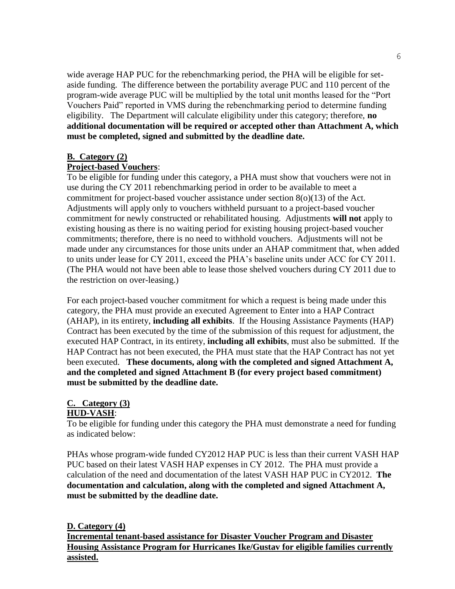wide average HAP PUC for the rebenchmarking period, the PHA will be eligible for setaside funding. The difference between the portability average PUC and 110 percent of the program-wide average PUC will be multiplied by the total unit months leased for the "Port" Vouchers Paid" reported in VMS during the rebenchmarking period to determine funding eligibility. The Department will calculate eligibility under this category; therefore, **no additional documentation will be required or accepted other than Attachment A, which must be completed, signed and submitted by the deadline date.**

### **B. Category (2)**

#### **Project-based Vouchers**:

To be eligible for funding under this category, a PHA must show that vouchers were not in use during the CY 2011 rebenchmarking period in order to be available to meet a commitment for project-based voucher assistance under section 8(o)(13) of the Act. Adjustments will apply only to vouchers withheld pursuant to a project-based voucher commitment for newly constructed or rehabilitated housing. Adjustments **will not** apply to existing housing as there is no waiting period for existing housing project-based voucher commitments; therefore, there is no need to withhold vouchers. Adjustments will not be made under any circumstances for those units under an AHAP commitment that, when added to units under lease for CY 2011, exceed the PHA's baseline units under ACC for CY 2011. (The PHA would not have been able to lease those shelved vouchers during CY 2011 due to the restriction on over-leasing.)

For each project-based voucher commitment for which a request is being made under this category, the PHA must provide an executed Agreement to Enter into a HAP Contract (AHAP), in its entirety, **including all exhibits**. If the Housing Assistance Payments (HAP) Contract has been executed by the time of the submission of this request for adjustment, the executed HAP Contract, in its entirety, **including all exhibits**, must also be submitted. If the HAP Contract has not been executed, the PHA must state that the HAP Contract has not yet been executed. **These documents, along with the completed and signed Attachment A, and the completed and signed Attachment B (for every project based commitment) must be submitted by the deadline date.**

#### **C. Category (3)**

# **HUD-VASH**:

To be eligible for funding under this category the PHA must demonstrate a need for funding as indicated below:

PHAs whose program-wide funded CY2012 HAP PUC is less than their current VASH HAP PUC based on their latest VASH HAP expenses in CY 2012. The PHA must provide a calculation of the need and documentation of the latest VASH HAP PUC in CY2012. **The documentation and calculation, along with the completed and signed Attachment A, must be submitted by the deadline date.**

**D. Category (4) Incremental tenant-based assistance for Disaster Voucher Program and Disaster Housing Assistance Program for Hurricanes Ike/Gustav for eligible families currently assisted.**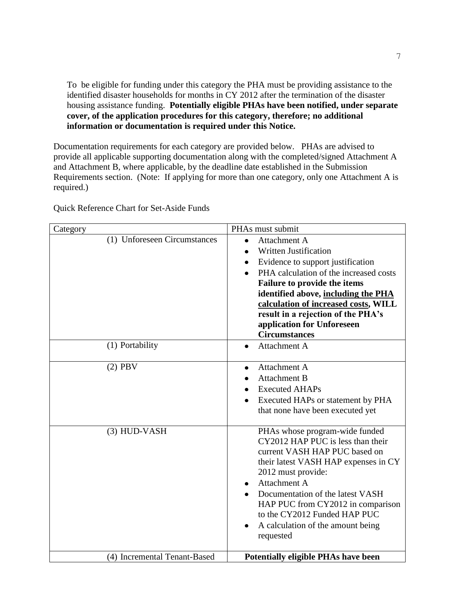To be eligible for funding under this category the PHA must be providing assistance to the identified disaster households for months in CY 2012 after the termination of the disaster housing assistance funding. **Potentially eligible PHAs have been notified, under separate cover, of the application procedures for this category, therefore; no additional information or documentation is required under this Notice.** 

Documentation requirements for each category are provided below. PHAs are advised to provide all applicable supporting documentation along with the completed/signed Attachment A and Attachment B, where applicable, by the deadline date established in the Submission Requirements section. (Note: If applying for more than one category, only one Attachment A is required.)

Quick Reference Chart for Set-Aside Funds

| Category                     | PHAs must submit                                                                                                                                                                                                                                                                                                                                                 |
|------------------------------|------------------------------------------------------------------------------------------------------------------------------------------------------------------------------------------------------------------------------------------------------------------------------------------------------------------------------------------------------------------|
| (1) Unforeseen Circumstances | Attachment A<br>$\bullet$<br><b>Written Justification</b><br>Evidence to support justification<br>$\bullet$<br>PHA calculation of the increased costs<br>Failure to provide the items<br>identified above, including the PHA<br>calculation of increased costs, WILL<br>result in a rejection of the PHA's<br>application for Unforeseen<br><b>Circumstances</b> |
| (1) Portability              | Attachment A<br>$\bullet$                                                                                                                                                                                                                                                                                                                                        |
| $(2)$ PBV                    | Attachment A<br><b>Attachment B</b><br><b>Executed AHAPs</b><br>Executed HAPs or statement by PHA<br>that none have been executed yet                                                                                                                                                                                                                            |
| (3) HUD-VASH                 | PHAs whose program-wide funded<br>CY2012 HAP PUC is less than their<br>current VASH HAP PUC based on<br>their latest VASH HAP expenses in CY<br>2012 must provide:<br>Attachment A<br>$\bullet$<br>Documentation of the latest VASH<br>HAP PUC from CY2012 in comparison<br>to the CY2012 Funded HAP PUC<br>A calculation of the amount being<br>requested       |
| (4) Incremental Tenant-Based | <b>Potentially eligible PHAs have been</b>                                                                                                                                                                                                                                                                                                                       |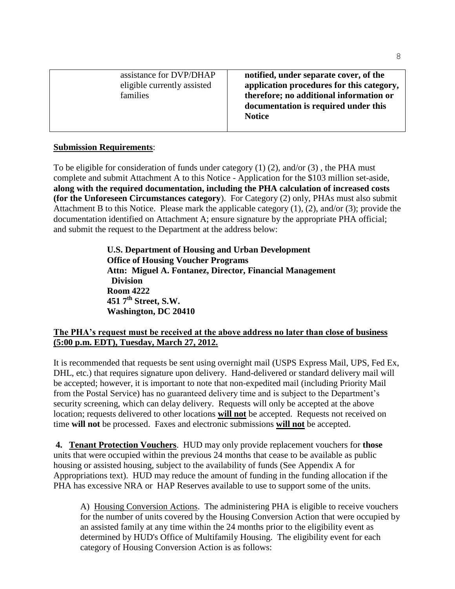| assistance for DVP/DHAP<br>eligible currently assisted<br>families | notified, under separate cover, of the<br>application procedures for this category,<br>therefore; no additional information or<br>documentation is required under this<br><b>Notice</b> |
|--------------------------------------------------------------------|-----------------------------------------------------------------------------------------------------------------------------------------------------------------------------------------|
|--------------------------------------------------------------------|-----------------------------------------------------------------------------------------------------------------------------------------------------------------------------------------|

## **Submission Requirements**:

To be eligible for consideration of funds under category (1) (2), and/or (3) , the PHA must complete and submit Attachment A to this Notice - Application for the \$103 million set-aside, **along with the required documentation, including the PHA calculation of increased costs (for the Unforeseen Circumstances category**). For Category (2) only, PHAs must also submit Attachment B to this Notice. Please mark the applicable category (1), (2), and/or (3); provide the documentation identified on Attachment A; ensure signature by the appropriate PHA official; and submit the request to the Department at the address below:

> **U.S. Department of Housing and Urban Development Office of Housing Voucher Programs Attn: Miguel A. Fontanez, Director, Financial Management Division Room 4222 451 7th Street, S.W. Washington, DC 20410**

# **The PHA's request must be received at the above address no later than close of business (5:00 p.m. EDT), Tuesday, March 27, 2012.**

It is recommended that requests be sent using overnight mail (USPS Express Mail, UPS, Fed Ex, DHL, etc.) that requires signature upon delivery. Hand-delivered or standard delivery mail will be accepted; however, it is important to note that non-expedited mail (including Priority Mail from the Postal Service) has no guaranteed delivery time and is subject to the Department's security screening, which can delay delivery. Requests will only be accepted at the above location; requests delivered to other locations **will not** be accepted.Requests not received on time **will not** be processed. Faxes and electronic submissions **will not** be accepted.

**4. Tenant Protection Vouchers**. HUD may only provide replacement vouchers for **those** units that were occupied within the previous 24 months that cease to be available as public housing or assisted housing, subject to the availability of funds (See Appendix A for Appropriations text). HUD may reduce the amount of funding in the funding allocation if the PHA has excessive NRA or HAP Reserves available to use to support some of the units.

A) Housing Conversion Actions. The administering PHA is eligible to receive vouchers for the number of units covered by the Housing Conversion Action that were occupied by an assisted family at any time within the 24 months prior to the eligibility event as determined by HUD's Office of Multifamily Housing. The eligibility event for each category of Housing Conversion Action is as follows: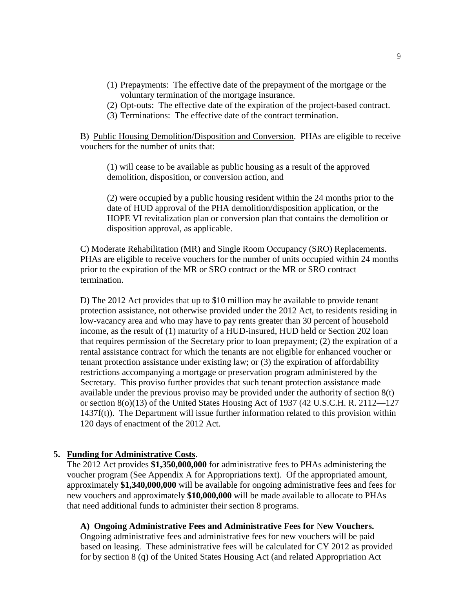- (1) Prepayments: The effective date of the prepayment of the mortgage or the voluntary termination of the mortgage insurance.
- (2) Opt-outs: The effective date of the expiration of the project-based contract.
- (3) Terminations: The effective date of the contract termination.

B) Public Housing Demolition/Disposition and Conversion. PHAs are eligible to receive vouchers for the number of units that:

(1) will cease to be available as public housing as a result of the approved demolition, disposition, or conversion action, and

(2) were occupied by a public housing resident within the 24 months prior to the date of HUD approval of the PHA demolition/disposition application, or the HOPE VI revitalization plan or conversion plan that contains the demolition or disposition approval, as applicable.

C) Moderate Rehabilitation (MR) and Single Room Occupancy (SRO) Replacements. PHAs are eligible to receive vouchers for the number of units occupied within 24 months prior to the expiration of the MR or SRO contract or the MR or SRO contract termination.

D) The 2012 Act provides that up to \$10 million may be available to provide tenant protection assistance, not otherwise provided under the 2012 Act, to residents residing in low-vacancy area and who may have to pay rents greater than 30 percent of household income, as the result of (1) maturity of a HUD-insured, HUD held or Section 202 loan that requires permission of the Secretary prior to loan prepayment; (2) the expiration of a rental assistance contract for which the tenants are not eligible for enhanced voucher or tenant protection assistance under existing law; or (3) the expiration of affordability restrictions accompanying a mortgage or preservation program administered by the Secretary. This proviso further provides that such tenant protection assistance made available under the previous proviso may be provided under the authority of section 8(t) or section 8(o)(13) of the United States Housing Act of 1937 (42 U.S.C.H. R. 2112—127 1437f(t)). The Department will issue further information related to this provision within 120 days of enactment of the 2012 Act.

#### **5. Funding for Administrative Costs**.

The 2012 Act provides **\$1,350,000,000** for administrative fees to PHAs administering the voucher program (See Appendix A for Appropriations text). Of the appropriated amount, approximately **\$1,340,000,000** will be available for ongoing administrative fees and fees for new vouchers and approximately **\$10,000,000** will be made available to allocate to PHAs that need additional funds to administer their section 8 programs.

**A) Ongoing Administrative Fees and Administrative Fees for** N**ew Vouchers.**  Ongoing administrative fees and administrative fees for new vouchers will be paid based on leasing. These administrative fees will be calculated for CY 2012 as provided

for by section 8 (q) of the United States Housing Act (and related Appropriation Act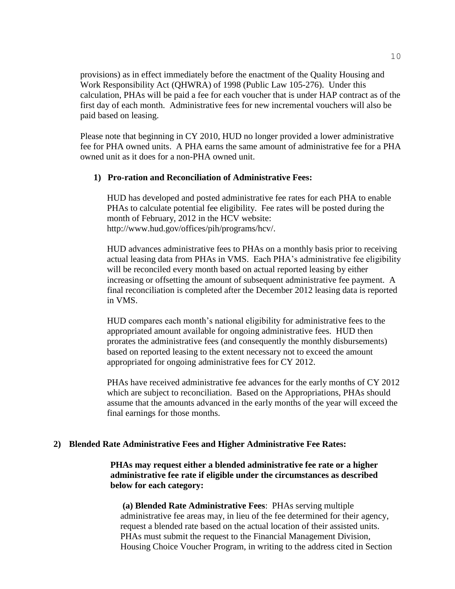provisions) as in effect immediately before the enactment of the Quality Housing and Work Responsibility Act (QHWRA) of 1998 (Public Law 105-276). Under this calculation, PHAs will be paid a fee for each voucher that is under HAP contract as of the first day of each month. Administrative fees for new incremental vouchers will also be paid based on leasing.

Please note that beginning in CY 2010, HUD no longer provided a lower administrative fee for PHA owned units. A PHA earns the same amount of administrative fee for a PHA owned unit as it does for a non-PHA owned unit.

### **1) Pro-ration and Reconciliation of Administrative Fees:**

HUD has developed and posted administrative fee rates for each PHA to enable PHAs to calculate potential fee eligibility. Fee rates will be posted during the month of February, 2012 in the HCV website: http://www.hud.gov/offices/pih/programs/hcv/.

HUD advances administrative fees to PHAs on a monthly basis prior to receiving actual leasing data from PHAs in VMS. Each PHA's administrative fee eligibility will be reconciled every month based on actual reported leasing by either increasing or offsetting the amount of subsequent administrative fee payment. A final reconciliation is completed after the December 2012 leasing data is reported in VMS.

HUD compares each month's national eligibility for administrative fees to the appropriated amount available for ongoing administrative fees. HUD then prorates the administrative fees (and consequently the monthly disbursements) based on reported leasing to the extent necessary not to exceed the amount appropriated for ongoing administrative fees for CY 2012.

PHAs have received administrative fee advances for the early months of CY 2012 which are subject to reconciliation. Based on the Appropriations, PHAs should assume that the amounts advanced in the early months of the year will exceed the final earnings for those months.

### **2) Blended Rate Administrative Fees and Higher Administrative Fee Rates:**

**PHAs may request either a blended administrative fee rate or a higher administrative fee rate if eligible under the circumstances as described below for each category:**

**(a) Blended Rate Administrative Fees**: PHAs serving multiple administrative fee areas may, in lieu of the fee determined for their agency, request a blended rate based on the actual location of their assisted units. PHAs must submit the request to the Financial Management Division, Housing Choice Voucher Program, in writing to the address cited in Section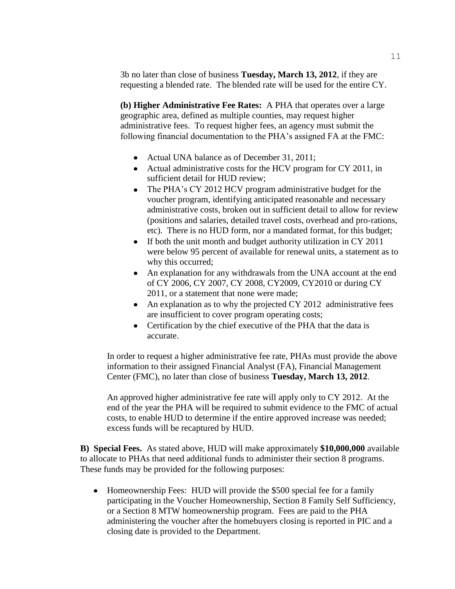3b no later than close of business **Tuesday, March 13, 2012**, if they are requesting a blended rate. The blended rate will be used for the entire CY.

**(b) Higher Administrative Fee Rates:** A PHA that operates over a large geographic area, defined as multiple counties, may request higher administrative fees. To request higher fees, an agency must submit the following financial documentation to the PHA's assigned FA at the FMC:

- Actual UNA balance as of December 31, 2011;
- Actual administrative costs for the HCV program for CY 2011, in sufficient detail for HUD review;
- The PHA's CY 2012 HCV program administrative budget for the voucher program, identifying anticipated reasonable and necessary administrative costs, broken out in sufficient detail to allow for review (positions and salaries, detailed travel costs, overhead and pro-rations, etc). There is no HUD form, nor a mandated format, for this budget;
- If both the unit month and budget authority utilization in CY 2011 were below 95 percent of available for renewal units, a statement as to why this occurred;
- An explanation for any withdrawals from the UNA account at the end of CY 2006, CY 2007, CY 2008, CY2009, CY2010 or during CY 2011, or a statement that none were made;
- An explanation as to why the projected CY 2012 administrative fees are insufficient to cover program operating costs;
- Certification by the chief executive of the PHA that the data is accurate.

In order to request a higher administrative fee rate, PHAs must provide the above information to their assigned Financial Analyst (FA), Financial Management Center (FMC), no later than close of business **Tuesday, March 13, 2012**.

An approved higher administrative fee rate will apply only to CY 2012. At the end of the year the PHA will be required to submit evidence to the FMC of actual costs, to enable HUD to determine if the entire approved increase was needed; excess funds will be recaptured by HUD.

**B) Special Fees.** As stated above, HUD will make approximately **\$10,000,000** available to allocate to PHAs that need additional funds to administer their section 8 programs. These funds may be provided for the following purposes:

• Homeownership Fees: HUD will provide the \$500 special fee for a family participating in the Voucher Homeownership, Section 8 Family Self Sufficiency, or a Section 8 MTW homeownership program. Fees are paid to the PHA administering the voucher after the homebuyers closing is reported in PIC and a closing date is provided to the Department.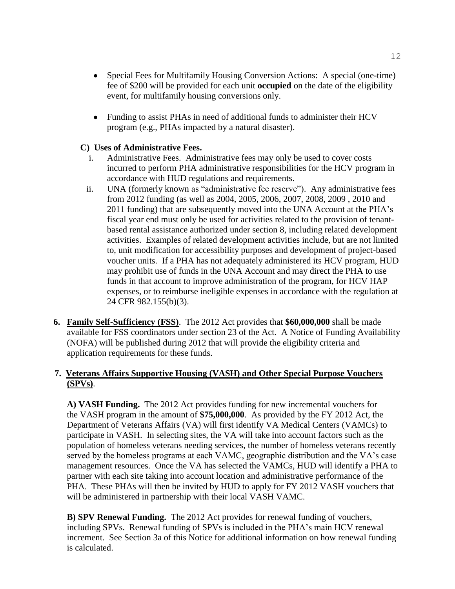- $\bullet$ Special Fees for Multifamily Housing Conversion Actions: A special (one-time) fee of \$200 will be provided for each unit **occupied** on the date of the eligibility event, for multifamily housing conversions only.
- Funding to assist PHAs in need of additional funds to administer their HCV program (e.g., PHAs impacted by a natural disaster).

## **C) Uses of Administrative Fees.**

- i. Administrative Fees. Administrative fees may only be used to cover costs incurred to perform PHA administrative responsibilities for the HCV program in accordance with HUD regulations and requirements.
- ii. UNA (formerly known as "administrative fee reserve"). Any administrative fees from 2012 funding (as well as 2004, 2005, 2006, 2007, 2008, 2009 , 2010 and 2011 funding) that are subsequently moved into the UNA Account at the PHA's fiscal year end must only be used for activities related to the provision of tenantbased rental assistance authorized under section 8, including related development activities. Examples of related development activities include, but are not limited to, unit modification for accessibility purposes and development of project-based voucher units. If a PHA has not adequately administered its HCV program, HUD may prohibit use of funds in the UNA Account and may direct the PHA to use funds in that account to improve administration of the program, for HCV HAP expenses, or to reimburse ineligible expenses in accordance with the regulation at 24 CFR 982.155(b)(3).
- **6. Family Self-Sufficiency (FSS)**. The 2012 Act provides that **\$60,000,000** shall be made available for FSS coordinators under section 23 of the Act. A Notice of Funding Availability (NOFA) will be published during 2012 that will provide the eligibility criteria and application requirements for these funds.

# **7. Veterans Affairs Supportive Housing (VASH) and Other Special Purpose Vouchers (SPVs)**.

**A) VASH Funding.** The 2012 Act provides funding for new incremental vouchers for the VASH program in the amount of **\$75,000,000**. As provided by the FY 2012 Act, the Department of Veterans Affairs (VA) will first identify VA Medical Centers (VAMCs) to participate in VASH. In selecting sites, the VA will take into account factors such as the population of homeless veterans needing services, the number of homeless veterans recently served by the homeless programs at each VAMC, geographic distribution and the VA's case management resources. Once the VA has selected the VAMCs, HUD will identify a PHA to partner with each site taking into account location and administrative performance of the PHA. These PHAs will then be invited by HUD to apply for FY 2012 VASH vouchers that will be administered in partnership with their local VASH VAMC.

**B) SPV Renewal Funding.** The 2012 Act provides for renewal funding of vouchers, including SPVs. Renewal funding of SPVs is included in the PHA's main HCV renewal increment. See Section 3a of this Notice for additional information on how renewal funding is calculated.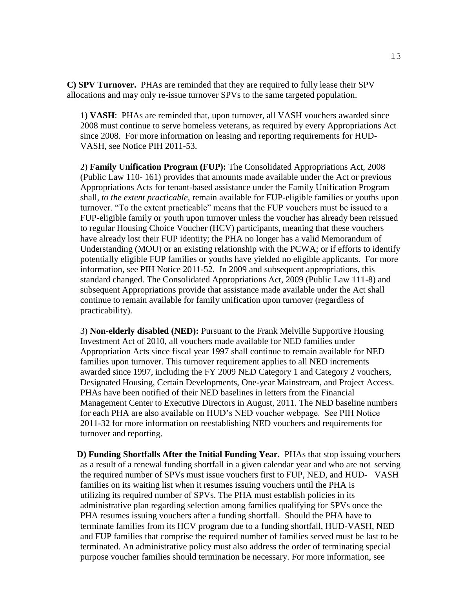**C) SPV Turnover.** PHAs are reminded that they are required to fully lease their SPV allocations and may only re-issue turnover SPVs to the same targeted population.

1) **VASH**: PHAs are reminded that, upon turnover, all VASH vouchers awarded since 2008 must continue to serve homeless veterans, as required by every Appropriations Act since 2008. For more information on leasing and reporting requirements for HUD-VASH, see Notice PIH 2011-53.

2) **Family Unification Program (FUP):** The Consolidated Appropriations Act, 2008 (Public Law 110- 161) provides that amounts made available under the Act or previous Appropriations Acts for tenant-based assistance under the Family Unification Program shall, *to the extent practicable*, remain available for FUP-eligible families or youths upon turnover. "To the extent practicable" means that the FUP vouchers must be issued to a FUP-eligible family or youth upon turnover unless the voucher has already been reissued to regular Housing Choice Voucher (HCV) participants, meaning that these vouchers have already lost their FUP identity; the PHA no longer has a valid Memorandum of Understanding (MOU) or an existing relationship with the PCWA; or if efforts to identify potentially eligible FUP families or youths have yielded no eligible applicants. For more information, see PIH Notice 2011-52. In 2009 and subsequent appropriations, this standard changed. The Consolidated Appropriations Act, 2009 (Public Law 111-8) and subsequent Appropriations provide that assistance made available under the Act shall continue to remain available for family unification upon turnover (regardless of practicability).

3) **Non-elderly disabled (NED):** Pursuant to the Frank Melville Supportive Housing Investment Act of 2010, all vouchers made available for NED families under Appropriation Acts since fiscal year 1997 shall continue to remain available for NED families upon turnover. This turnover requirement applies to all NED increments awarded since 1997, including the FY 2009 NED Category 1 and Category 2 vouchers, Designated Housing, Certain Developments, One-year Mainstream, and Project Access. PHAs have been notified of their NED baselines in letters from the Financial Management Center to Executive Directors in August, 2011. The NED baseline numbers for each PHA are also available on HUD's NED voucher webpage. See PIH Notice 2011-32 for more information on reestablishing NED vouchers and requirements for turnover and reporting.

**D) Funding Shortfalls After the Initial Funding Year.** PHAs that stop issuing vouchers as a result of a renewal funding shortfall in a given calendar year and who are not serving the required number of SPVs must issue vouchers first to FUP, NED, and HUD- VASH families on its waiting list when it resumes issuing vouchers until the PHA is utilizing its required number of SPVs. The PHA must establish policies in its administrative plan regarding selection among families qualifying for SPVs once the PHA resumes issuing vouchers after a funding shortfall. Should the PHA have to terminate families from its HCV program due to a funding shortfall, HUD-VASH, NED and FUP families that comprise the required number of families served must be last to be terminated. An administrative policy must also address the order of terminating special purpose voucher families should termination be necessary. For more information, see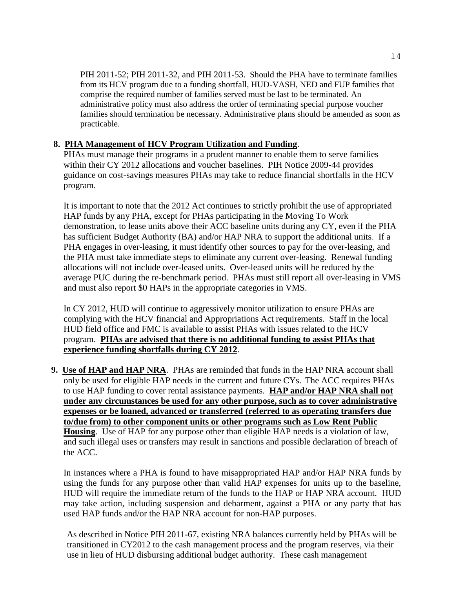PIH 2011-52; PIH 2011-32, and PIH 2011-53. Should the PHA have to terminate families from its HCV program due to a funding shortfall, HUD-VASH, NED and FUP families that comprise the required number of families served must be last to be terminated. An administrative policy must also address the order of terminating special purpose voucher families should termination be necessary. Administrative plans should be amended as soon as practicable.

# **8. PHA Management of HCV Program Utilization and Funding**.

PHAs must manage their programs in a prudent manner to enable them to serve families within their CY 2012 allocations and voucher baselines. PIH Notice 2009-44 provides guidance on cost-savings measures PHAs may take to reduce financial shortfalls in the HCV program.

It is important to note that the 2012 Act continues to strictly prohibit the use of appropriated HAP funds by any PHA, except for PHAs participating in the Moving To Work demonstration, to lease units above their ACC baseline units during any CY, even if the PHA has sufficient Budget Authority (BA) and/or HAP NRA to support the additional units. If a PHA engages in over-leasing, it must identify other sources to pay for the over-leasing, and the PHA must take immediate steps to eliminate any current over-leasing. Renewal funding allocations will not include over-leased units. Over-leased units will be reduced by the average PUC during the re-benchmark period. PHAs must still report all over-leasing in VMS and must also report \$0 HAPs in the appropriate categories in VMS.

In CY 2012, HUD will continue to aggressively monitor utilization to ensure PHAs are complying with the HCV financial and Appropriations Act requirements. Staff in the local HUD field office and FMC is available to assist PHAs with issues related to the HCV program. **PHAs are advised that there is no additional funding to assist PHAs that experience funding shortfalls during CY 2012**.

 **9. Use of HAP and HAP NRA**.PHAs are reminded that funds in the HAP NRA account shall only be used for eligible HAP needs in the current and future CYs. The ACC requires PHAs to use HAP funding to cover rental assistance payments. **HAP and/or HAP NRA shall not under any circumstances be used for any other purpose, such as to cover administrative expenses or be loaned, advanced or transferred (referred to as operating transfers due to/due from) to other component units or other programs such as Low Rent Public Housing**. Use of HAP for any purpose other than eligible HAP needs is a violation of law, and such illegal uses or transfers may result in sanctions and possible declaration of breach of the ACC.

In instances where a PHA is found to have misappropriated HAP and/or HAP NRA funds by using the funds for any purpose other than valid HAP expenses for units up to the baseline, HUD will require the immediate return of the funds to the HAP or HAP NRA account. HUD may take action, including suspension and debarment, against a PHA or any party that has used HAP funds and/or the HAP NRA account for non-HAP purposes.

As described in Notice PIH 2011-67, existing NRA balances currently held by PHAs will be transitioned in CY2012 to the cash management process and the program reserves, via their use in lieu of HUD disbursing additional budget authority. These cash management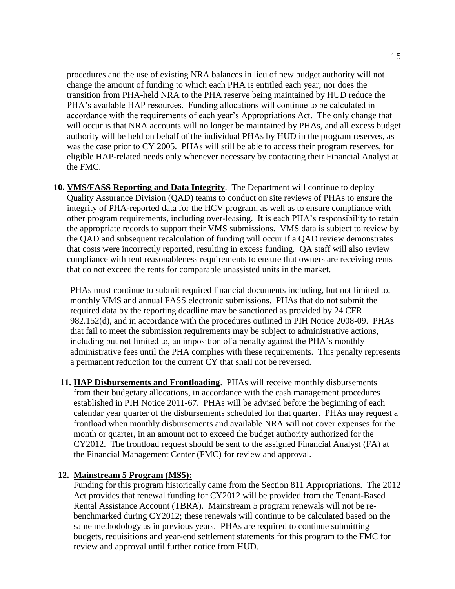procedures and the use of existing NRA balances in lieu of new budget authority will not change the amount of funding to which each PHA is entitled each year; nor does the transition from PHA-held NRA to the PHA reserve being maintained by HUD reduce the PHA's available HAP resources. Funding allocations will continue to be calculated in accordance with the requirements of each year's Appropriations Act. The only change that will occur is that NRA accounts will no longer be maintained by PHAs, and all excess budget authority will be held on behalf of the individual PHAs by HUD in the program reserves, as was the case prior to CY 2005. PHAs will still be able to access their program reserves, for eligible HAP-related needs only whenever necessary by contacting their Financial Analyst at the FMC.

**10. VMS/FASS Reporting and Data Integrity**. The Department will continue to deploy Quality Assurance Division (QAD) teams to conduct on site reviews of PHAs to ensure the integrity of PHA-reported data for the HCV program, as well as to ensure compliance with other program requirements, including over-leasing. It is each PHA's responsibility to retain the appropriate records to support their VMS submissions. VMS data is subject to review by the QAD and subsequent recalculation of funding will occur if a QAD review demonstrates that costs were incorrectly reported, resulting in excess funding. QA staff will also review compliance with rent reasonableness requirements to ensure that owners are receiving rents that do not exceed the rents for comparable unassisted units in the market.

PHAs must continue to submit required financial documents including, but not limited to, monthly VMS and annual FASS electronic submissions. PHAs that do not submit the required data by the reporting deadline may be sanctioned as provided by 24 CFR 982.152(d), and in accordance with the procedures outlined in PIH Notice 2008-09. PHAs that fail to meet the submission requirements may be subject to administrative actions, including but not limited to, an imposition of a penalty against the PHA's monthly administrative fees until the PHA complies with these requirements. This penalty represents a permanent reduction for the current CY that shall not be reversed.

**11. HAP Disbursements and Frontloading**.PHAs will receive monthly disbursements from their budgetary allocations, in accordance with the cash management procedures established in PIH Notice 2011-67. PHAs will be advised before the beginning of each calendar year quarter of the disbursements scheduled for that quarter. PHAs may request a frontload when monthly disbursements and available NRA will not cover expenses for the month or quarter, in an amount not to exceed the budget authority authorized for the CY2012. The frontload request should be sent to the assigned Financial Analyst (FA) at the Financial Management Center (FMC) for review and approval.

### **12. Mainstream 5 Program (MS5):**

Funding for this program historically came from the Section 811 Appropriations. The 2012 Act provides that renewal funding for CY2012 will be provided from the Tenant-Based Rental Assistance Account (TBRA). Mainstream 5 program renewals will not be rebenchmarked during CY2012; these renewals will continue to be calculated based on the same methodology as in previous years. PHAs are required to continue submitting budgets, requisitions and year-end settlement statements for this program to the FMC for review and approval until further notice from HUD.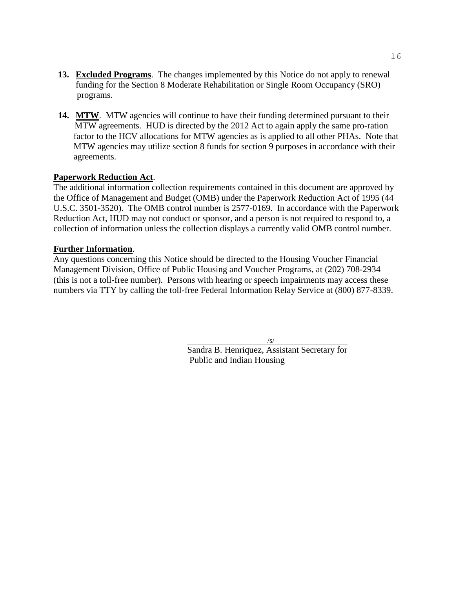- **13. Excluded Programs**. The changes implemented by this Notice do not apply to renewal funding for the Section 8 Moderate Rehabilitation or Single Room Occupancy (SRO) programs.
- 14. MTW. MTW agencies will continue to have their funding determined pursuant to their MTW agreements. HUD is directed by the 2012 Act to again apply the same pro-ration factor to the HCV allocations for MTW agencies as is applied to all other PHAs. Note that MTW agencies may utilize section 8 funds for section 9 purposes in accordance with their agreements.

## **Paperwork Reduction Act**.

The additional information collection requirements contained in this document are approved by the Office of Management and Budget (OMB) under the Paperwork Reduction Act of 1995 (44 U.S.C. 3501-3520). The OMB control number is 2577-0169. In accordance with the Paperwork Reduction Act, HUD may not conduct or sponsor, and a person is not required to respond to, a collection of information unless the collection displays a currently valid OMB control number.

## **Further Information**.

Any questions concerning this Notice should be directed to the Housing Voucher Financial Management Division, Office of Public Housing and Voucher Programs, at (202) 708-2934 (this is not a toll-free number). Persons with hearing or speech impairments may access these numbers via TTY by calling the toll-free Federal Information Relay Service at (800) 877-8339.

/s/

Sandra B. Henriquez, Assistant Secretary for Public and Indian Housing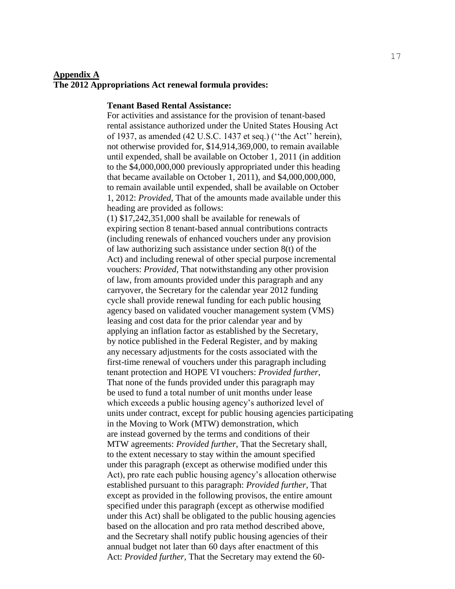#### **Appendix A**

#### **The 2012 Appropriations Act renewal formula provides:**

#### **Tenant Based Rental Assistance:**

For activities and assistance for the provision of tenant-based rental assistance authorized under the United States Housing Act of 1937, as amended  $(42 \text{ U.S.C. } 1437 \text{ et seq.})$  ("the Act" herein), not otherwise provided for, \$14,914,369,000, to remain available until expended, shall be available on October 1, 2011 (in addition to the \$4,000,000,000 previously appropriated under this heading that became available on October 1, 2011), and \$4,000,000,000, to remain available until expended, shall be available on October 1, 2012: *Provided*, That of the amounts made available under this heading are provided as follows:

(1) \$17,242,351,000 shall be available for renewals of expiring section 8 tenant-based annual contributions contracts (including renewals of enhanced vouchers under any provision of law authorizing such assistance under section 8(t) of the Act) and including renewal of other special purpose incremental vouchers: *Provided*, That notwithstanding any other provision of law, from amounts provided under this paragraph and any carryover, the Secretary for the calendar year 2012 funding cycle shall provide renewal funding for each public housing agency based on validated voucher management system (VMS) leasing and cost data for the prior calendar year and by applying an inflation factor as established by the Secretary, by notice published in the Federal Register, and by making any necessary adjustments for the costs associated with the first-time renewal of vouchers under this paragraph including tenant protection and HOPE VI vouchers: *Provided further*, That none of the funds provided under this paragraph may be used to fund a total number of unit months under lease which exceeds a public housing agency's authorized level of units under contract, except for public housing agencies participating in the Moving to Work (MTW) demonstration, which are instead governed by the terms and conditions of their MTW agreements: *Provided further*, That the Secretary shall, to the extent necessary to stay within the amount specified under this paragraph (except as otherwise modified under this Act), pro rate each public housing agency's allocation otherwise established pursuant to this paragraph: *Provided further*, That except as provided in the following provisos, the entire amount specified under this paragraph (except as otherwise modified under this Act) shall be obligated to the public housing agencies based on the allocation and pro rata method described above, and the Secretary shall notify public housing agencies of their annual budget not later than 60 days after enactment of this Act: *Provided further*, That the Secretary may extend the 60-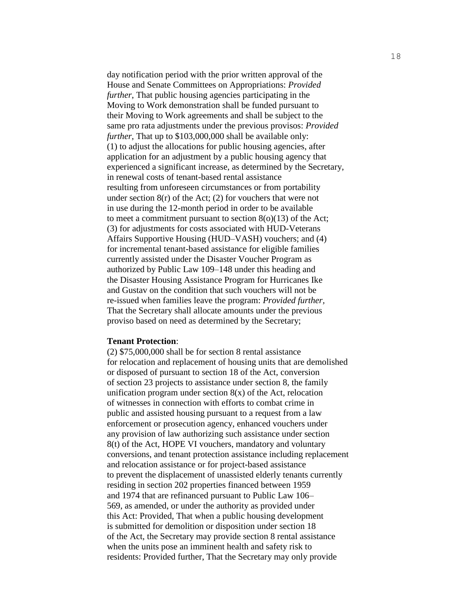day notification period with the prior written approval of the House and Senate Committees on Appropriations: *Provided further*, That public housing agencies participating in the Moving to Work demonstration shall be funded pursuant to their Moving to Work agreements and shall be subject to the same pro rata adjustments under the previous provisos: *Provided further*, That up to \$103,000,000 shall be available only: (1) to adjust the allocations for public housing agencies, after application for an adjustment by a public housing agency that experienced a significant increase, as determined by the Secretary, in renewal costs of tenant-based rental assistance resulting from unforeseen circumstances or from portability under section 8(r) of the Act; (2) for vouchers that were not in use during the 12-month period in order to be available to meet a commitment pursuant to section  $8(0)(13)$  of the Act; (3) for adjustments for costs associated with HUD-Veterans Affairs Supportive Housing (HUD–VASH) vouchers; and (4) for incremental tenant-based assistance for eligible families currently assisted under the Disaster Voucher Program as authorized by Public Law 109–148 under this heading and the Disaster Housing Assistance Program for Hurricanes Ike and Gustav on the condition that such vouchers will not be re-issued when families leave the program: *Provided further,* That the Secretary shall allocate amounts under the previous proviso based on need as determined by the Secretary;

#### **Tenant Protection**:

(2) \$75,000,000 shall be for section 8 rental assistance for relocation and replacement of housing units that are demolished or disposed of pursuant to section 18 of the Act, conversion of section 23 projects to assistance under section 8, the family unification program under section  $8(x)$  of the Act, relocation of witnesses in connection with efforts to combat crime in public and assisted housing pursuant to a request from a law enforcement or prosecution agency, enhanced vouchers under any provision of law authorizing such assistance under section 8(t) of the Act, HOPE VI vouchers, mandatory and voluntary conversions, and tenant protection assistance including replacement and relocation assistance or for project-based assistance to prevent the displacement of unassisted elderly tenants currently residing in section 202 properties financed between 1959 and 1974 that are refinanced pursuant to Public Law 106– 569, as amended, or under the authority as provided under this Act: Provided, That when a public housing development is submitted for demolition or disposition under section 18 of the Act, the Secretary may provide section 8 rental assistance when the units pose an imminent health and safety risk to residents: Provided further, That the Secretary may only provide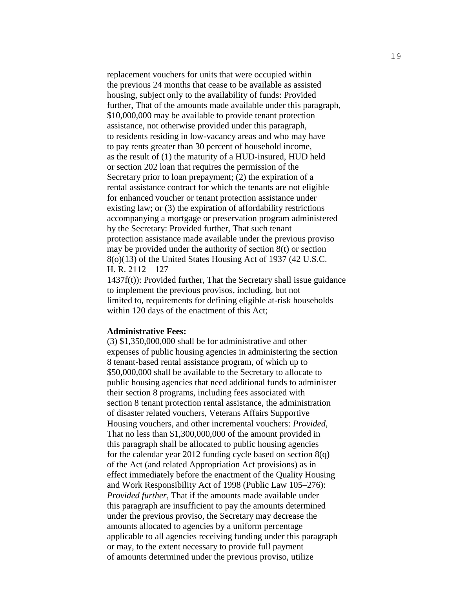replacement vouchers for units that were occupied within the previous 24 months that cease to be available as assisted housing, subject only to the availability of funds: Provided further, That of the amounts made available under this paragraph, \$10,000,000 may be available to provide tenant protection assistance, not otherwise provided under this paragraph, to residents residing in low-vacancy areas and who may have to pay rents greater than 30 percent of household income, as the result of (1) the maturity of a HUD-insured, HUD held or section 202 loan that requires the permission of the Secretary prior to loan prepayment; (2) the expiration of a rental assistance contract for which the tenants are not eligible for enhanced voucher or tenant protection assistance under existing law; or (3) the expiration of affordability restrictions accompanying a mortgage or preservation program administered by the Secretary: Provided further, That such tenant protection assistance made available under the previous proviso may be provided under the authority of section 8(t) or section 8(o)(13) of the United States Housing Act of 1937 (42 U.S.C. H. R. 2112—127

1437f(t)): Provided further, That the Secretary shall issue guidance to implement the previous provisos, including, but not limited to, requirements for defining eligible at-risk households within 120 days of the enactment of this Act;

#### **Administrative Fees:**

(3) \$1,350,000,000 shall be for administrative and other expenses of public housing agencies in administering the section 8 tenant-based rental assistance program, of which up to \$50,000,000 shall be available to the Secretary to allocate to public housing agencies that need additional funds to administer their section 8 programs, including fees associated with section 8 tenant protection rental assistance, the administration of disaster related vouchers, Veterans Affairs Supportive Housing vouchers, and other incremental vouchers: *Provided*, That no less than \$1,300,000,000 of the amount provided in this paragraph shall be allocated to public housing agencies for the calendar year 2012 funding cycle based on section  $8(q)$ of the Act (and related Appropriation Act provisions) as in effect immediately before the enactment of the Quality Housing and Work Responsibility Act of 1998 (Public Law 105–276): *Provided further*, That if the amounts made available under this paragraph are insufficient to pay the amounts determined under the previous proviso, the Secretary may decrease the amounts allocated to agencies by a uniform percentage applicable to all agencies receiving funding under this paragraph or may, to the extent necessary to provide full payment of amounts determined under the previous proviso, utilize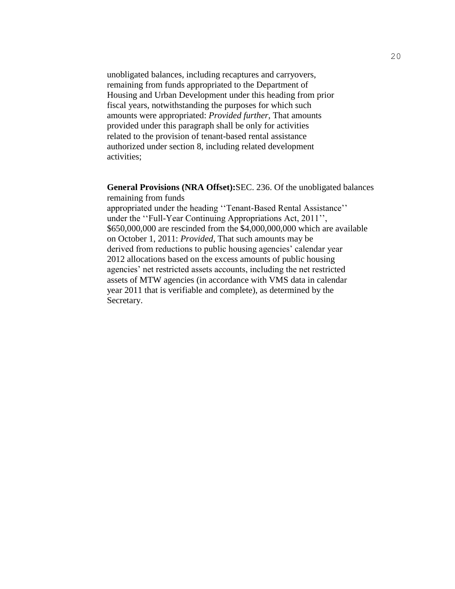unobligated balances, including recaptures and carryovers, remaining from funds appropriated to the Department of Housing and Urban Development under this heading from prior fiscal years, notwithstanding the purposes for which such amounts were appropriated: *Provided further*, That amounts provided under this paragraph shall be only for activities related to the provision of tenant-based rental assistance authorized under section 8, including related development activities;

**General Provisions (NRA Offset):**SEC. 236. Of the unobligated balances remaining from funds

appropriated under the heading "Tenant-Based Rental Assistance" under the "Full-Year Continuing Appropriations Act, 2011", \$650,000,000 are rescinded from the \$4,000,000,000 which are available on October 1, 2011: *Provided,* That such amounts may be derived from reductions to public housing agencies' calendar year 2012 allocations based on the excess amounts of public housing agencies' net restricted assets accounts, including the net restricted assets of MTW agencies (in accordance with VMS data in calendar year 2011 that is verifiable and complete), as determined by the Secretary.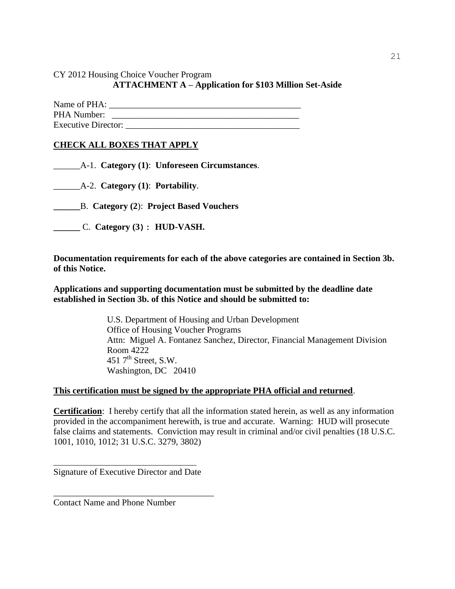CY 2012 Housing Choice Voucher Program

## **ATTACHMENT A – Application for \$103 Million Set-Aside**

| Name of PHA:               |  |
|----------------------------|--|
| PHA Number:                |  |
| <b>Executive Director:</b> |  |

## **CHECK ALL BOXES THAT APPLY**

\_\_\_\_\_\_A-1. **Category (1)**: **Unforeseen Circumstances**.

\_\_\_\_\_\_A-2. **Category (1)**: **Portability**.

**\_\_\_\_\_\_**B. **Category (2**): **Project Based Vouchers**

**\_\_\_\_\_\_** C. **Category (3): HUD-VASH.**

**Documentation requirements for each of the above categories are contained in Section 3b. of this Notice.** 

**Applications and supporting documentation must be submitted by the deadline date established in Section 3b. of this Notice and should be submitted to:** 

> U.S. Department of Housing and Urban Development Office of Housing Voucher Programs Attn: Miguel A. Fontanez Sanchez, Director, Financial Management Division Room 4222 451  $7<sup>th</sup>$  Street, S.W. Washington, DC 20410

### **This certification must be signed by the appropriate PHA official and returned**.

**Certification**: I hereby certify that all the information stated herein, as well as any information provided in the accompaniment herewith, is true and accurate. Warning: HUD will prosecute false claims and statements. Conviction may result in criminal and/or civil penalties (18 U.S.C. 1001, 1010, 1012; 31 U.S.C. 3279, 3802)

\_\_\_\_\_\_\_\_\_\_\_\_\_\_\_\_\_\_\_\_\_\_\_\_\_\_\_\_\_\_\_\_\_\_\_ Signature of Executive Director and Date

\_\_\_\_\_\_\_\_\_\_\_\_\_\_\_\_\_\_\_\_\_\_\_\_\_\_\_\_\_\_\_\_\_\_\_\_

Contact Name and Phone Number